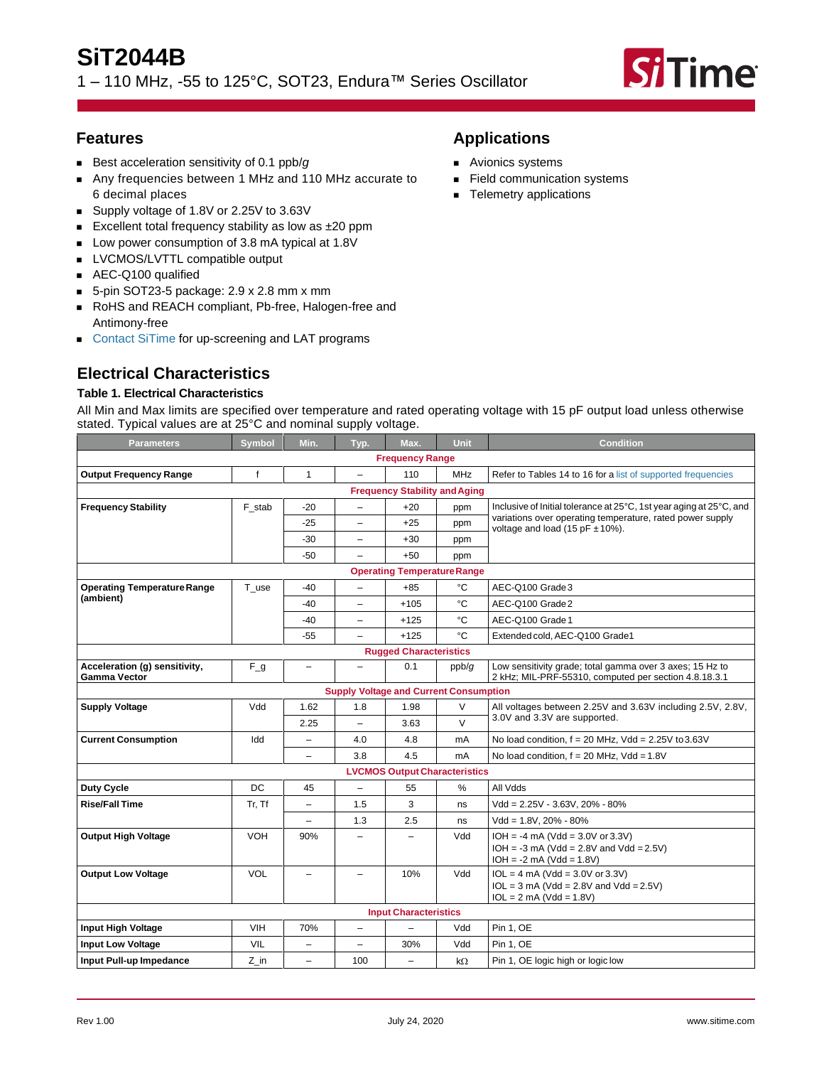# **SiT2044B** 1 – 110 MHz, -55 to 125°C, SOT23, Endura™ Series Oscillator



# **Features**

- Best acceleration sensitivity of 0.1 ppb/g
- Any frequencies between 1 MHz and 110 MHz accurate to 6 decimal places
- Supply voltage of 1.8V or 2.25V to 3.63V
- Excellent total frequency stability as low as ±20 ppm
- Low power consumption of 3.8 mA typical at 1.8V
- LVCMOS/LVTTL compatible output
- AEC-Q100 qualified
- $\blacksquare$  5-pin SOT23-5 package: 2.9 x 2.8 mm x mm
- RoHS and REACH compliant, Pb-free, Halogen-free and Antimony-free
- [Contact SiTime](https://www.sitime.com/contact-us) for up-screening and LAT programs

# **Electrical Characteristics**

# **Table 1. Electrical Characteristics**

All Min and Max limits are specified over temperature and rated operating voltage with 15 pF output load unless otherwise stated. Typical values are at 25°C and nominal supply voltage.

| <b>Parameters</b>                                    | <b>Symbol</b>   | Min.                     | Typ.                                          | Max.                                 | Unit          | <b>Condition</b>                                                                                                  |  |  |
|------------------------------------------------------|-----------------|--------------------------|-----------------------------------------------|--------------------------------------|---------------|-------------------------------------------------------------------------------------------------------------------|--|--|
|                                                      |                 |                          |                                               | <b>Frequency Range</b>               |               |                                                                                                                   |  |  |
| <b>Output Frequency Range</b>                        | f               | $\mathbf{1}$             | $\overline{\phantom{0}}$                      | 110                                  | <b>MHz</b>    | Refer to Tables 14 to 16 for a list of supported frequencies                                                      |  |  |
|                                                      |                 |                          |                                               | <b>Frequency Stability and Aging</b> |               |                                                                                                                   |  |  |
| <b>Frequency Stability</b>                           | F stab          | -20                      | $\overline{\phantom{0}}$                      | $+20$                                | ppm           | Inclusive of Initial tolerance at 25°C, 1st year aging at 25°C, and                                               |  |  |
|                                                      |                 | -25                      | $\overline{\phantom{0}}$                      | $+25$                                | ppm           | variations over operating temperature, rated power supply<br>voltage and load (15 pF $\pm$ 10%).                  |  |  |
|                                                      |                 | -30                      | $\overline{\phantom{0}}$                      | $+30$                                | ppm           |                                                                                                                   |  |  |
|                                                      |                 | -50                      | $\equiv$                                      | $+50$                                | ppm           |                                                                                                                   |  |  |
|                                                      |                 |                          |                                               | <b>Operating Temperature Range</b>   |               |                                                                                                                   |  |  |
| <b>Operating Temperature Range</b>                   | T use           | -40                      | $\overline{a}$                                | $+85$                                | °C            | AEC-Q100 Grade 3                                                                                                  |  |  |
| (ambient)                                            |                 | $-40$                    | $\overline{\phantom{0}}$                      | $+105$                               | °C            | AEC-Q100 Grade 2                                                                                                  |  |  |
|                                                      |                 | -40                      | $\overline{\phantom{0}}$                      | $+125$                               | °C            | AEC-Q100 Grade 1                                                                                                  |  |  |
|                                                      |                 | $-55$                    | $\overline{\phantom{0}}$                      | $+125$                               | °C            | Extended cold, AEC-Q100 Grade1                                                                                    |  |  |
|                                                      |                 |                          |                                               | <b>Rugged Characteristics</b>        |               |                                                                                                                   |  |  |
| Acceleration (g) sensitivity,<br><b>Gamma Vector</b> | $\mathsf{F\_g}$ | $\qquad \qquad -$        | $\overline{\phantom{0}}$                      | 0.1                                  | ppb/g         | Low sensitivity grade; total gamma over 3 axes; 15 Hz to<br>2 kHz; MIL-PRF-55310, computed per section 4.8.18.3.1 |  |  |
|                                                      |                 |                          | <b>Supply Voltage and Current Consumption</b> |                                      |               |                                                                                                                   |  |  |
| <b>Supply Voltage</b>                                | Vdd             | 1.62                     | 1.8                                           | 1.98                                 | V             | All voltages between 2.25V and 3.63V including 2.5V, 2.8V,                                                        |  |  |
|                                                      |                 | 2.25                     | $\overline{\phantom{0}}$                      | 3.63                                 | $\vee$        | 3.0V and 3.3V are supported.                                                                                      |  |  |
| <b>Current Consumption</b>                           | Idd             | $\qquad \qquad -$        | 4.0                                           | 4.8                                  | mA            | No load condition, $f = 20$ MHz, Vdd = 2.25V to 3.63V                                                             |  |  |
|                                                      |                 | $\overline{\phantom{0}}$ | 3.8                                           | 4.5                                  | mA            | No load condition, $f = 20$ MHz, Vdd = 1.8V                                                                       |  |  |
|                                                      |                 |                          |                                               | <b>LVCMOS Output Characteristics</b> |               |                                                                                                                   |  |  |
| Duty Cycle                                           | DC              | 45                       | $\overline{\phantom{0}}$                      | 55                                   | $\frac{0}{0}$ | All Vdds                                                                                                          |  |  |
| <b>Rise/Fall Time</b>                                | Tr, Tf          | $\overline{a}$           | 1.5                                           | 3                                    | ns            | Vdd = 2.25V - 3.63V. 20% - 80%                                                                                    |  |  |
|                                                      |                 | $\overline{\phantom{0}}$ | 1.3                                           | 2.5                                  | ns            | $Vdd = 1.8V. 20\% - 80\%$                                                                                         |  |  |
| <b>Output High Voltage</b>                           | <b>VOH</b>      | 90%                      | -                                             |                                      | Vdd           | $IOH = -4 mA (Vdd = 3.0V or 3.3V)$<br>$IOH = -3 mA (Vdd = 2.8V and Vdd = 2.5V)$<br>$IOH = -2 mA (Vdd = 1.8V)$     |  |  |
| <b>Output Low Voltage</b>                            | VOL             | $\overline{\phantom{0}}$ | $\overline{\phantom{0}}$                      | 10%                                  | Vdd           | $IOL = 4 mA (Vdd = 3.0V or 3.3V)$<br>$IOL = 3 mA (Vdd = 2.8V and Vdd = 2.5V)$<br>$IOL = 2 mA (Vdd = 1.8V)$        |  |  |
|                                                      |                 |                          |                                               | <b>Input Characteristics</b>         |               |                                                                                                                   |  |  |
| Input High Voltage                                   | <b>VIH</b>      | 70%                      | $\overline{\phantom{0}}$                      |                                      | Vdd           | Pin 1, OE                                                                                                         |  |  |
| <b>Input Low Voltage</b>                             | VIL             | $\overline{a}$           | $\overline{\phantom{0}}$                      | 30%                                  | Vdd           | <b>Pin 1. OE</b>                                                                                                  |  |  |
| Input Pull-up Impedance                              | Z in            | $\overline{a}$           | 100                                           |                                      | $k\Omega$     | Pin 1, OE logic high or logic low                                                                                 |  |  |

# **Applications**

- Avionics systems
- Field communication systems
- Telemetry applications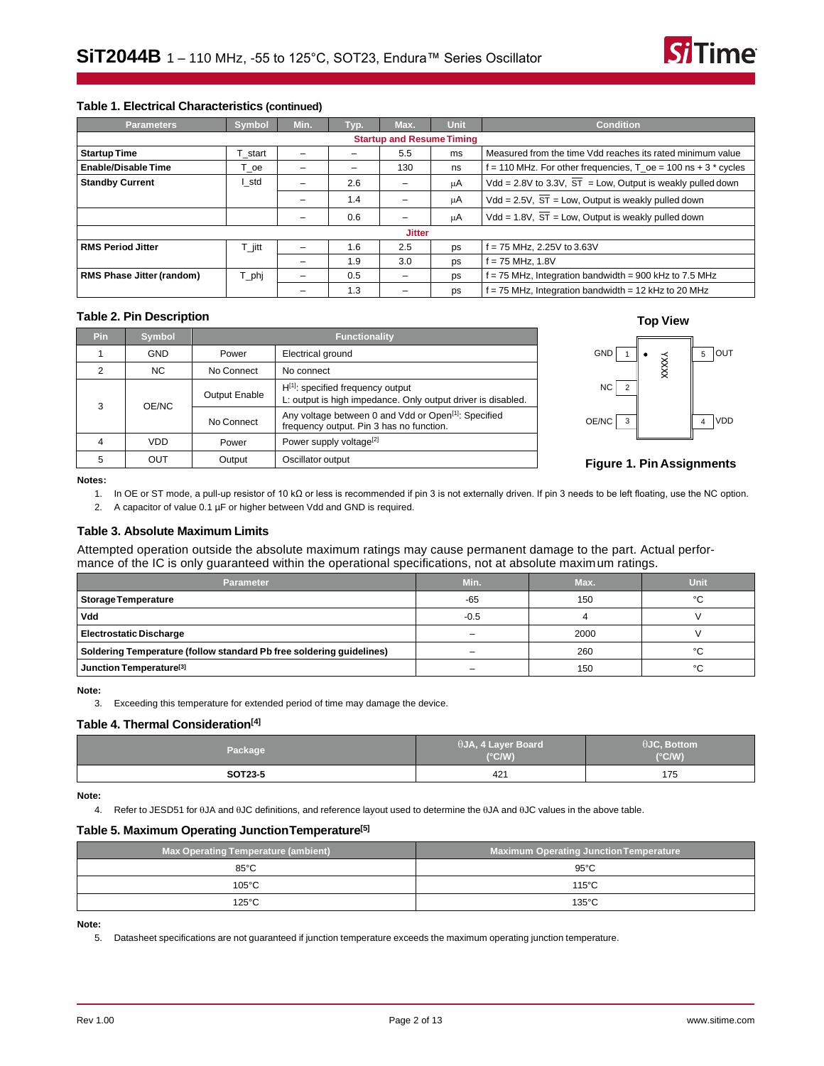

#### **Table 1. Electrical Characteristics (continued)**

| <b>Parameters</b>                | <b>Symbol</b>                    | Min. | Typ. | Max.          | <b>Unit</b>                                                      | <b>Condition</b>                                                        |  |  |  |
|----------------------------------|----------------------------------|------|------|---------------|------------------------------------------------------------------|-------------------------------------------------------------------------|--|--|--|
|                                  | <b>Startup and Resume Timing</b> |      |      |               |                                                                  |                                                                         |  |  |  |
| <b>Startup Time</b>              | start                            |      |      | 5.5           | Measured from the time Vdd reaches its rated minimum value<br>ms |                                                                         |  |  |  |
| <b>Enable/Disable Time</b>       | oe                               | -    | -    | 130           | ns                                                               | $f = 110$ MHz. For other frequencies, $T_{0}e = 100$ ns + 3 $*$ cycles  |  |  |  |
| <b>Standby Current</b>           | I std                            |      | 2.6  |               | μA                                                               | Vdd = 2.8V to 3.3V, $\overline{ST}$ = Low, Output is weakly pulled down |  |  |  |
|                                  |                                  |      | 1.4  |               | μA                                                               | $Vdd = 2.5V$ , $ST = Low$ , Output is weakly pulled down                |  |  |  |
|                                  |                                  |      | 0.6  |               | μA                                                               | Vdd = 1.8V, $\overline{ST}$ = Low, Output is weakly pulled down         |  |  |  |
|                                  |                                  |      |      | <b>Jitter</b> |                                                                  |                                                                         |  |  |  |
| <b>RMS Period Jitter</b>         | ⊺ jitt                           |      | 1.6  | 2.5           | ps                                                               | f = 75 MHz, 2.25V to 3.63V                                              |  |  |  |
|                                  |                                  |      | 1.9  | 3.0           | ps                                                               | f = 75 MHz, 1.8V                                                        |  |  |  |
| <b>RMS Phase Jitter (random)</b> | T_phj                            |      | 0.5  |               | ps                                                               | f = 75 MHz, Integration bandwidth = 900 kHz to 7.5 MHz                  |  |  |  |
|                                  |                                  |      | 1.3  |               | ps                                                               | f = 75 MHz, Integration bandwidth = 12 kHz to 20 MHz                    |  |  |  |

# **Table 2. Pin Description Top View**

| Pin | <b>Symbol</b> |                      | <b>Functionality</b>                                                                                         |  |  |  |  |
|-----|---------------|----------------------|--------------------------------------------------------------------------------------------------------------|--|--|--|--|
|     | <b>GND</b>    | Power                | Electrical ground                                                                                            |  |  |  |  |
| 2   | <b>NC</b>     | No Connect           | No connect                                                                                                   |  |  |  |  |
| 3   | OE/NC         | <b>Output Enable</b> | $H^{[1]}$ : specified frequency output<br>L: output is high impedance. Only output driver is disabled.       |  |  |  |  |
|     |               | No Connect           | Any voltage between 0 and Vdd or Open <sup>[1]</sup> : Specified<br>frequency output. Pin 3 has no function. |  |  |  |  |
|     | VDD           | Power                | Power supply voltage <sup>[2]</sup>                                                                          |  |  |  |  |
| 5   | OUT           | Output               | Oscillator output                                                                                            |  |  |  |  |





#### **Figure 1. Pin Assignments**

<span id="page-1-1"></span><span id="page-1-0"></span>**Notes:**

- 1. In OE or ST mode, a pull-up resistor of 10 kΩ or less is recommended if pin 3 is not externally driven. If pin 3 needs to be left floating, use the NC option.
- 2. A capacitor of value 0.1 µF or higher between Vdd and GND is required.

#### **Table 3. Absolute Maximum Limits**

Attempted operation outside the absolute maximum ratings may cause permanent damage to the part. Actual performance of the IC is only guaranteed within the operational specifications, not at absolute maximum ratings.

| <b>Parameter</b>                                                     | Min.   | Max. | Unit |
|----------------------------------------------------------------------|--------|------|------|
| Storage Temperature                                                  | $-65$  | 150  | °C   |
| <b>Vdd</b>                                                           | $-0.5$ |      |      |
| <b>Electrostatic Discharge</b>                                       | -      | 2000 |      |
| Soldering Temperature (follow standard Pb free soldering guidelines) |        | 260  | °C   |
| Junction Temperature <sup>[3]</sup>                                  |        | 150  | °C   |

#### <span id="page-1-2"></span>**Note:**

3. Exceeding this temperature for extended period of time may damage the device.

#### **Table 4. Thermal Consideration[\[4\]](#page-1-3)**

| Package | $\theta$ JA, 4 Layer Board<br>$(^{\circ}C/W)$ | $\theta$ JC, Bottom<br>$(^{\circ}C/W)$ |
|---------|-----------------------------------------------|----------------------------------------|
| SOT23-5 | 42'                                           | 175                                    |

<span id="page-1-3"></span>**Note:**

4. Refer to JESD51 for  $\theta$ JA and  $\theta$ JC definitions, and reference layout used to determine the  $\theta$ JA and  $\theta$ JC values in the above table.

#### **Table 5. Maximum Operating JunctionTemperature[\[5\]](#page-1-4)**

| <b>Max Operating Temperature (ambient)</b> | <b>Maximum Operating Junction Temperature</b> |
|--------------------------------------------|-----------------------------------------------|
| $85^{\circ}$ C                             | $95^{\circ}$ C                                |
| $105^{\circ}$ C                            | $115^{\circ}$ C                               |
| 125°C                                      | $135^{\circ}$ C                               |

<span id="page-1-4"></span>**Note:**

5. Datasheet specifications are not guaranteed if junction temperature exceeds the maximum operating junction temperature.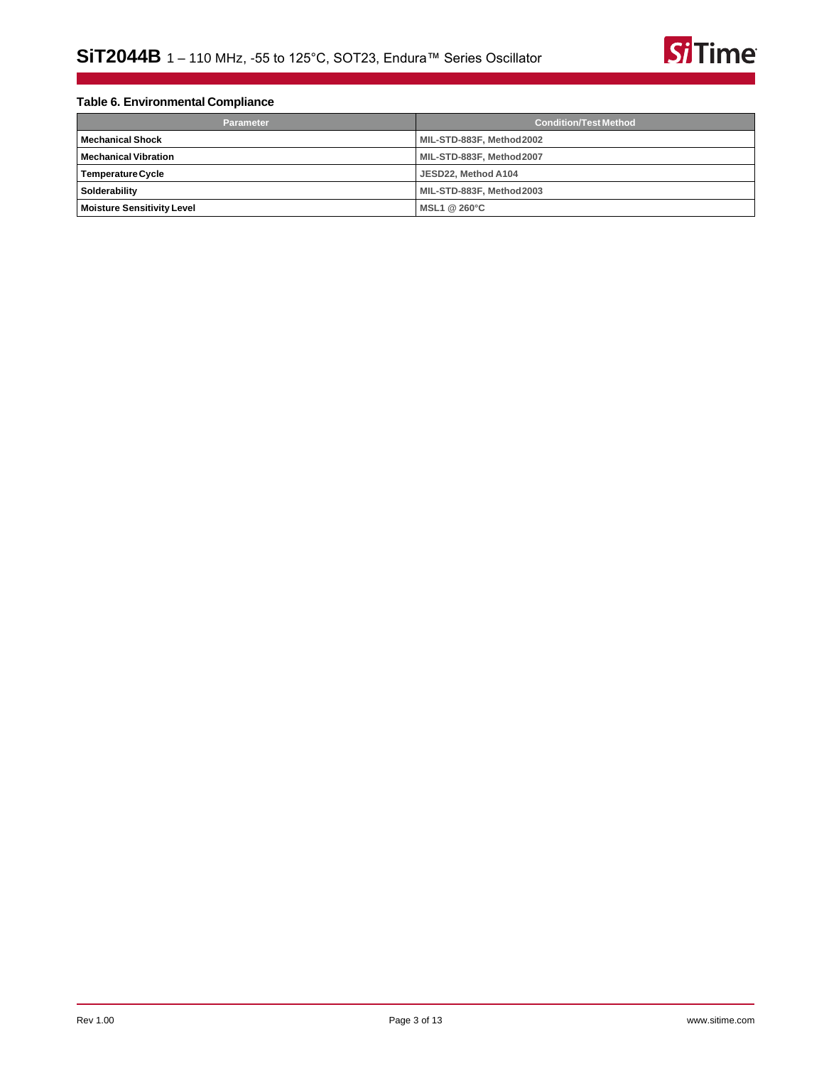

# **Table 6. Environmental Compliance**

| <b>Parameter</b>                  | <b>Condition/Test Method</b> |  |  |  |
|-----------------------------------|------------------------------|--|--|--|
| <b>Mechanical Shock</b>           | MIL-STD-883F, Method2002     |  |  |  |
| <b>Mechanical Vibration</b>       | MIL-STD-883F, Method2007     |  |  |  |
| <b>Temperature Cycle</b>          | JESD22. Method A104          |  |  |  |
| Solderability                     | MIL-STD-883F, Method2003     |  |  |  |
| <b>Moisture Sensitivity Level</b> | MSL1 @ 260°C                 |  |  |  |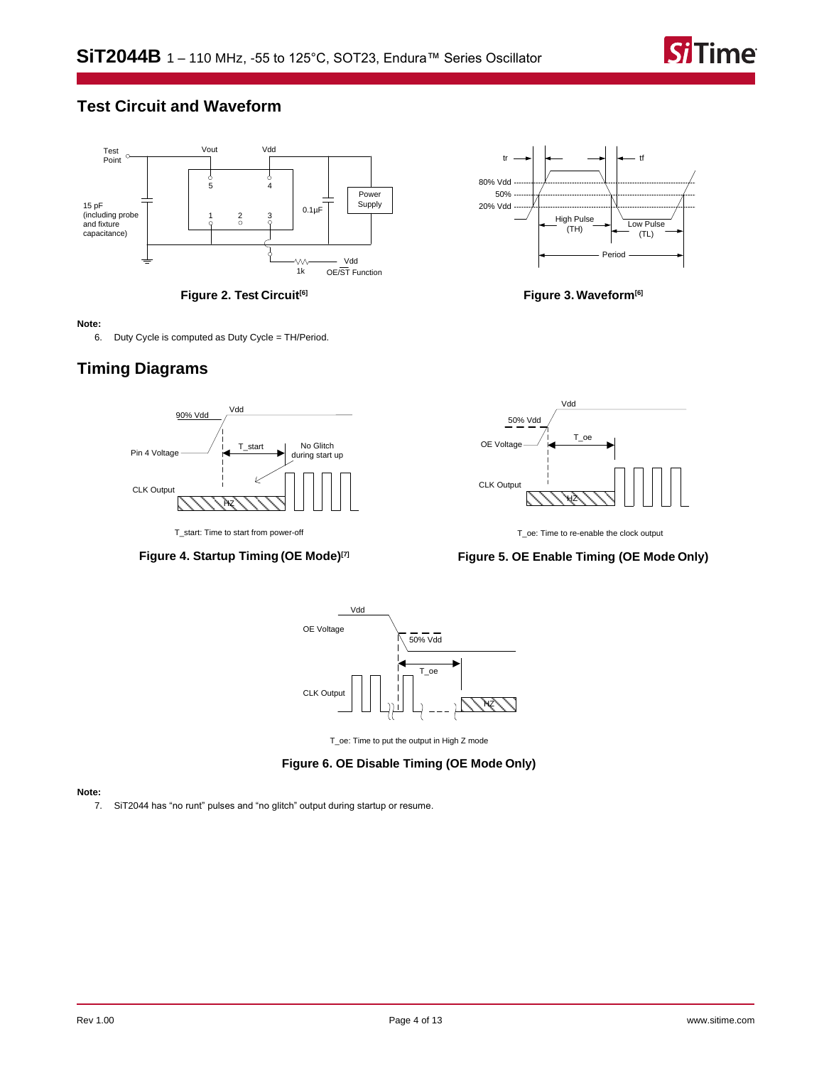

# **Test Circuit and Waveform**



**Figure 2. Test Circuit[\[6\]](#page-3-0)**

#### <span id="page-3-0"></span>**Note:**

6. Duty Cycle is computed as Duty Cycle = TH/Period.

# **Timing Diagrams**



**Figure 4. Startup Timing (OE Mode)[\[7\]](#page-3-1)**



**Figure 3. Waveform[\[6\]](#page-3-0)**



T\_oe: Time to re-enable the clock output

## **Figure 5. OE Enable Timing (OE Mode Only)**



T\_oe: Time to put the output in High Z mode

# **Figure 6. OE Disable Timing (OE Mode Only)**

#### <span id="page-3-1"></span>**Note:**

7. SiT2044 has "no runt" pulses and "no glitch" output during startup or resume.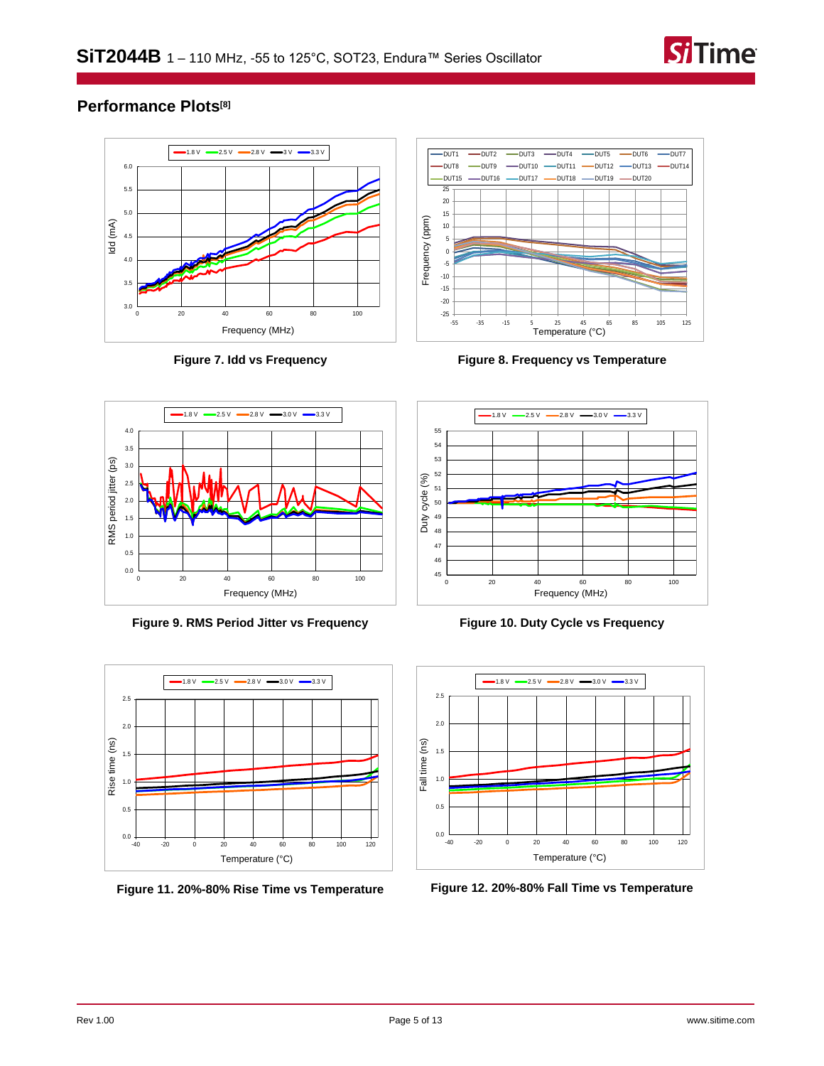

# **Performance Plots[\[8\]](#page-5-0)**



**Figure 7. Idd vs Frequency**



**Figure 8. Frequency vs Temperature**



**Figure 9. RMS Period Jitter vs Frequency**



**Figure 11. 20%-80% Rise Time vs Temperature**



**Figure 10. Duty Cycle vs Frequency**



**Figure 12. 20%-80% Fall Time vs Temperature**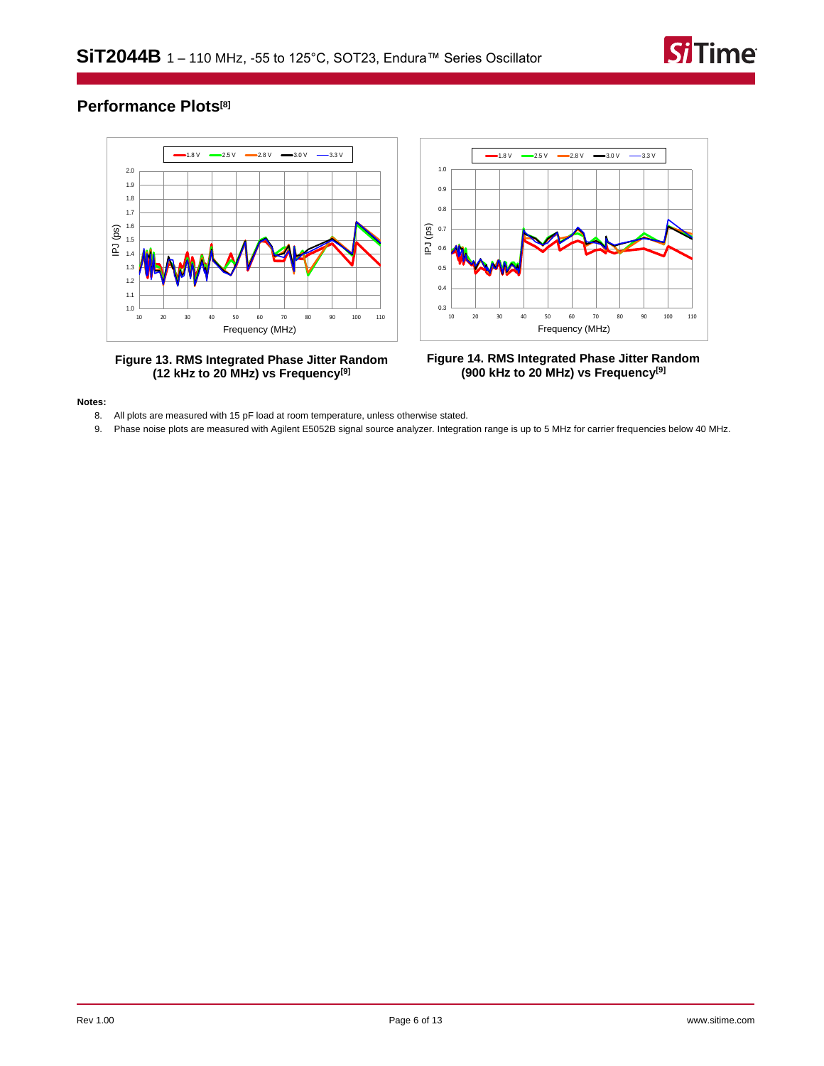

# **Performance Plots[\[8\]](#page-5-0)**



**Figure 13. RMS Integrated Phase Jitter Random (12 kHz to 20 MHz) vs Frequency[\[9\]](#page-5-1)**



**Figure 14. RMS Integrated Phase Jitter Random (900 kHz to 20 MHz) vs Frequency[\[9\]](#page-5-1)**

#### <span id="page-5-1"></span><span id="page-5-0"></span>**Notes:**

- 8. All plots are measured with 15 pF load at room temperature, unless otherwise stated.
- 9. Phase noise plots are measured with Agilent E5052B signal source analyzer. Integration range is up to 5 MHz for carrier frequencies below 40 MHz.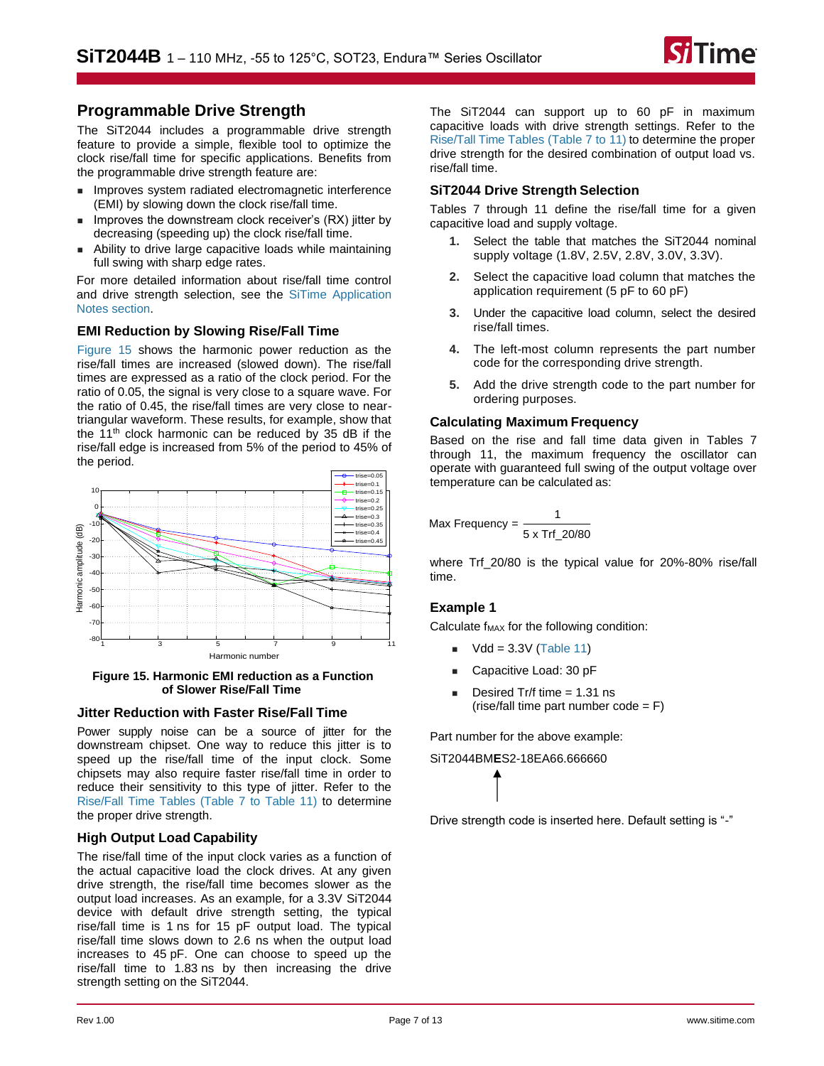![](_page_6_Picture_1.jpeg)

# **Programmable Drive Strength**

The [SiT2044](https://www.sitime.com/products/lvcmos-ruggedized-oscillators/sit2044) includes a programmable drive strength feature to provide a simple, flexible tool to optimize the clock rise/fall time for specific applications. Benefits from the programmable drive strength feature are:

- Improves system radiated electromagnetic interference (EMI) by slowing down the clock rise/fall time.
- Improves the downstream clock receiver's (RX) jitter by decreasing (speeding up) the clock rise/fall time.
- Ability to drive large capacitive loads while maintaining full swing with sharp edge rates.

For more detailed information about rise/fall time control and drive strength selection, see the [SiTime Application](https://www.sitime.com/support/resource-library?filter=641)  Notes [section.](https://www.sitime.com/support/resource-library?filter=641)

## **EMI Reduction by Slowing Rise/Fall Time**

Figure [15](#page-6-0) shows the harmonic power reduction as the rise/fall times are increased (slowed down). The rise/fall times are expressed as a ratio of the clock period. For the ratio of 0.05, the signal is very close to a square wave. For the ratio of 0.45, the rise/fall times are very close to neartriangular waveform. These results, for example, show that the 11<sup>th</sup> clock harmonic can be reduced by 35 dB if the rise/fall edge is increased from 5% of the period to 45% of the period.

<span id="page-6-0"></span>![](_page_6_Figure_10.jpeg)

**Figure 15. Harmonic EMI reduction as a Function of Slower Rise/Fall Time**

## **Jitter Reduction with Faster Rise/Fall Time**

Power supply noise can be a source of jitter for the downstream chipset. One way to reduce this jitter is to speed up the rise/fall time of the input clock. Some chipsets may also require faster rise/fall time in order to reduce their sensitivity to this type of jitter. Refer to the [Rise/Fall Time Tables \(Table 7 to Table 11\)](#page-7-0) to determine the proper drive strength.

## **High Output Load Capability**

The rise/fall time of the input clock varies as a function of the actual capacitive load the clock drives. At any given drive strength, the rise/fall time becomes slower as the output load increases. As an example, for a 3.3V SiT2044 device with default drive strength setting, the typical rise/fall time is 1 ns for 15 pF output load. The typical rise/fall time slows down to 2.6 ns when the output load increases to 45 pF. One can choose to speed up the rise/fall time to 1.83 ns by then increasing the drive strength setting on the SiT2044.

The SiT2044 can support up to 60 pF in maximum capacitive loads with drive strength settings. Refer to the [Rise/Tall Time Tables \(Table 7 to 11\)](#page-7-0) to determine the proper drive strength for the desired combination of output load vs. rise/fall time.

## **SiT2044 Drive Strength Selection**

[Tables 7 through 11](#page-7-0) define the rise/fall time for a given capacitive load and supply voltage.

- **1.** Select the table that matches the SiT2044 nominal supply voltage (1.8V, 2.5V, 2.8V, 3.0V, 3.3V).
- **2.** Select the capacitive load column that matches the application requirement (5 pF to 60 pF)
- **3.** Under the capacitive load column, select the desired rise/fall times.
- **4.** The left-most column represents the part number code for the corresponding drive strength.
- **5.** Add the drive strength code to the part number for ordering purposes.

## **Calculating Maximum Frequency**

Based on the rise and fall time data given in [Tables 7](#page-7-0)  [through 11,](#page-7-0) the maximum frequency the oscillator can operate with guaranteed full swing of the output voltage over temperature can be calculated as:

$$
Max Frequency = \frac{1}{5 \times Trf\_20/80}
$$

where Trf\_20/80 is the typical value for 20%-80% rise/fall time.

## **Example 1**

Calculate  $f_{MAX}$  for the following condition:

- $\blacksquare$  Vdd = 3.3V [\(Table 11\)](#page-7-1)
- Capacitive Load: 30 pF
- Desired Tr/f time  $= 1.31$  ns  $(rise/fall time part number code = F)$

Part number for the above example:

SiT2044BM**E**S2-18EA66.666660

Drive strength code is inserted here. Default setting is "-"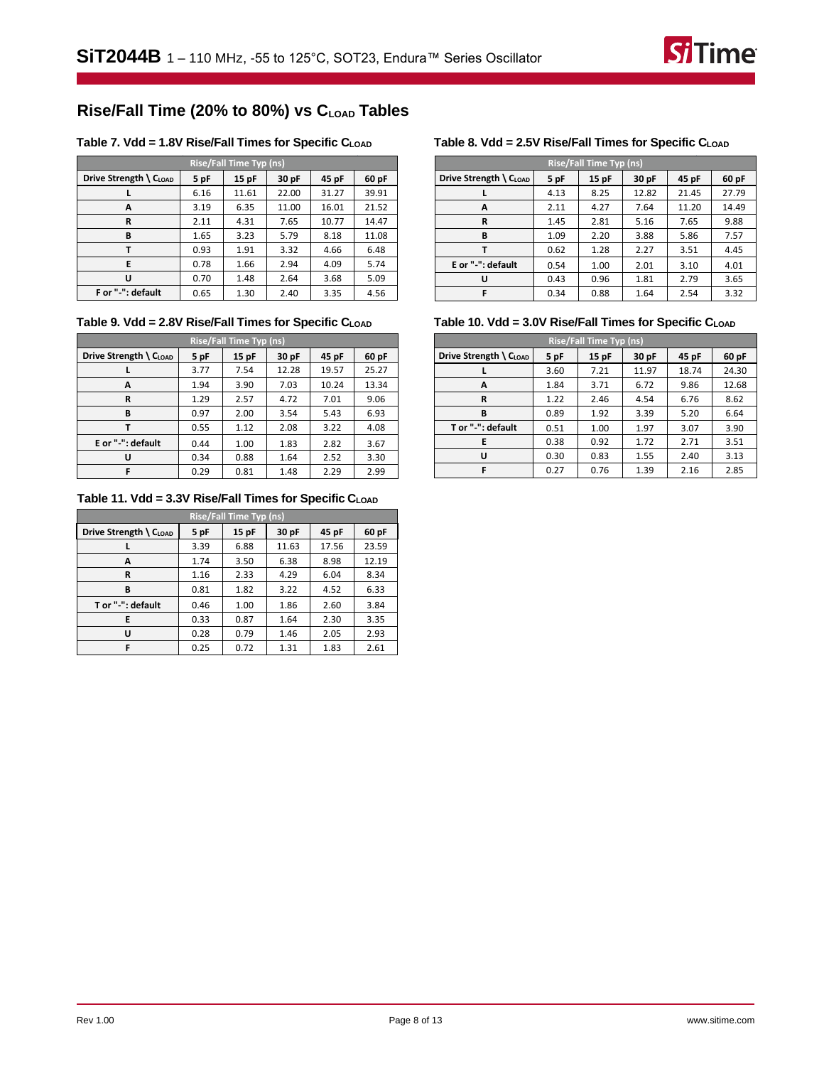![](_page_7_Picture_1.jpeg)

# **Rise/Fall Time (20% to 80%) vs CLOAD Tables**

## <span id="page-7-0"></span>**Table 7. Vdd = 1.8V Rise/Fall Times for Specific CLOAD Table 8. Vdd = 2.5V Rise/Fall Times for Specific CLOAD**

| <b>Rise/Fall Time Typ (ns)</b>               |      |       |       |       |       |  |  |
|----------------------------------------------|------|-------|-------|-------|-------|--|--|
| Drive Strength $\setminus$ C <sub>LOAD</sub> | 5 pF | 15 pF | 30 pF | 45 pF | 60 pF |  |  |
|                                              | 6.16 | 11.61 | 22.00 | 31.27 | 39.91 |  |  |
| A                                            | 3.19 | 6.35  | 11.00 | 16.01 | 21.52 |  |  |
| R                                            | 2.11 | 4.31  | 7.65  | 10.77 | 14.47 |  |  |
| В                                            | 1.65 | 3.23  | 5.79  | 8.18  | 11.08 |  |  |
|                                              | 0.93 | 1.91  | 3.32  | 4.66  | 6.48  |  |  |
| E                                            | 0.78 | 1.66  | 2.94  | 4.09  | 5.74  |  |  |
| U                                            | 0.70 | 1.48  | 2.64  | 3.68  | 5.09  |  |  |
| F or "-": default                            | 0.65 | 1.30  | 2.40  | 3.35  | 4.56  |  |  |

## **Table 9. Vdd = 2.8V Rise/Fall Times for Specific CLOAD**

| <b>Rise/Fall Time Typ (ns)</b> |      |       |       |       |       |  |  |
|--------------------------------|------|-------|-------|-------|-------|--|--|
| Drive Strength \ CLOAD         | 5 pF | 15 pF | 30 pF | 45 pF | 60 pF |  |  |
|                                | 3.77 | 7.54  | 12.28 | 19.57 | 25.27 |  |  |
| A                              | 1.94 | 3.90  | 7.03  | 10.24 | 13.34 |  |  |
| R                              | 1.29 | 2.57  | 4.72  | 7.01  | 9.06  |  |  |
| В                              | 0.97 | 2.00  | 3.54  | 5.43  | 6.93  |  |  |
| т                              | 0.55 | 1.12  | 2.08  | 3.22  | 4.08  |  |  |
| E or "-": default              | 0.44 | 1.00  | 1.83  | 2.82  | 3.67  |  |  |
| U                              | 0.34 | 0.88  | 1.64  | 2.52  | 3.30  |  |  |
| F                              | 0.29 | 0.81  | 1.48  | 2.29  | 2.99  |  |  |

## <span id="page-7-1"></span>**Table 11. Vdd = 3.3V Rise/Fall Times for Specific CLOAD**

| <b>Rise/Fall Time Typ (ns)</b> |      |      |       |       |       |  |  |
|--------------------------------|------|------|-------|-------|-------|--|--|
| Drive Strength \ CLOAD         | 5 pF | 15pF | 30 pF | 45 pF | 60 pF |  |  |
|                                | 3.39 | 6.88 | 11.63 | 17.56 | 23.59 |  |  |
| А                              | 1.74 | 3.50 | 6.38  | 8.98  | 12.19 |  |  |
| R                              | 1.16 | 2.33 | 4.29  | 6.04  | 8.34  |  |  |
| В                              | 0.81 | 1.82 | 3.22  | 4.52  | 6.33  |  |  |
| T or "-": default              | 0.46 | 1.00 | 1.86  | 2.60  | 3.84  |  |  |
| E                              | 0.33 | 0.87 | 1.64  | 2.30  | 3.35  |  |  |
| U                              | 0.28 | 0.79 | 1.46  | 2.05  | 2.93  |  |  |
| F                              | 0.25 | 0.72 | 1.31  | 1.83  | 2.61  |  |  |

| <b>Rise/Fall Time Typ (ns)</b> |      |       |       |       |       |  |  |
|--------------------------------|------|-------|-------|-------|-------|--|--|
| Drive Strength \ CLOAD         | 5 pF | 15 pF | 30 pF | 45 pF | 60 pF |  |  |
|                                | 4.13 | 8.25  | 12.82 | 21.45 | 27.79 |  |  |
| А                              | 2.11 | 4.27  | 7.64  | 11.20 | 14.49 |  |  |
| R                              | 1.45 | 2.81  | 5.16  | 7.65  | 9.88  |  |  |
| B                              | 1.09 | 2.20  | 3.88  | 5.86  | 7.57  |  |  |
|                                | 0.62 | 1.28  | 2.27  | 3.51  | 4.45  |  |  |
| E or "-": default              | 0.54 | 1.00  | 2.01  | 3.10  | 4.01  |  |  |
| U                              | 0.43 | 0.96  | 1.81  | 2.79  | 3.65  |  |  |
| F                              | 0.34 | 0.88  | 1.64  | 2.54  | 3.32  |  |  |

## **Table 10. Vdd = 3.0V Rise/Fall Times for Specific CLOAD**

| <b>Rise/Fall Time Typ (ns)</b>               |      |      |       |       |       |  |  |
|----------------------------------------------|------|------|-------|-------|-------|--|--|
| Drive Strength $\setminus$ C <sub>LOAD</sub> | 5 pF | 15pF | 30 pF | 45 pF | 60 pF |  |  |
|                                              | 3.60 | 7.21 | 11.97 | 18.74 | 24.30 |  |  |
| A                                            | 1.84 | 3.71 | 6.72  | 9.86  | 12.68 |  |  |
| R                                            | 1.22 | 2.46 | 4.54  | 6.76  | 8.62  |  |  |
| B                                            | 0.89 | 1.92 | 3.39  | 5.20  | 6.64  |  |  |
| T or "-": default                            | 0.51 | 1.00 | 1.97  | 3.07  | 3.90  |  |  |
| E                                            | 0.38 | 0.92 | 1.72  | 2.71  | 3.51  |  |  |
| U                                            | 0.30 | 0.83 | 1.55  | 2.40  | 3.13  |  |  |
| F                                            | 0.27 | 0.76 | 1.39  | 2.16  | 2.85  |  |  |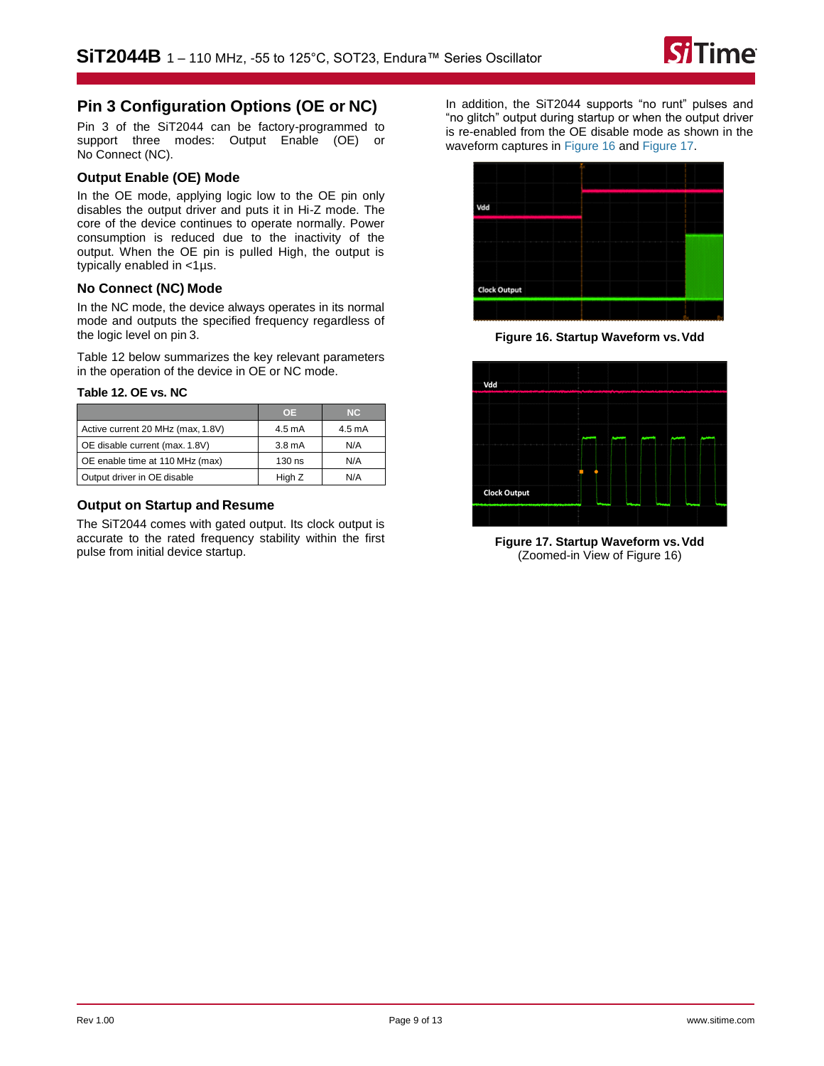![](_page_8_Picture_1.jpeg)

# **Pin 3 Configuration Options (OE or NC)**

Pin 3 of the [SiT2044](https://www.sitime.com/products/automotive-oscillators-clock-generators/sit2024) can be factory-programmed to support three modes: Output Enable (OE) or No Connect (NC).

## **Output Enable (OE) Mode**

In the OE mode, applying logic low to the OE pin only disables the output driver and puts it in Hi-Z mode. The core of the device continues to operate normally. Power consumption is reduced due to the inactivity of the output. When the OE pin is pulled High, the output is typically enabled in <1µs.

## **No Connect (NC) Mode**

In the NC mode, the device always operates in its normal mode and outputs the specified frequency regardless of the logic level on pin 3.

[Table 12](#page-8-0) below summarizes the key relevant parameters in the operation of the device in OE or NC mode.

## <span id="page-8-0"></span>**Table 12. OE vs. NC**

|                                   | <b>OE</b> | NC.    |
|-----------------------------------|-----------|--------|
| Active current 20 MHz (max, 1.8V) | 4.5 mA    | 4.5 mA |
| OE disable current (max. 1.8V)    | 3.8 mA    | N/A    |
| OE enable time at 110 MHz (max)   | 130 ns    | N/A    |
| Output driver in OE disable       | High Z    | N/A    |

## **Output on Startup and Resume**

The SiT2044 comes with gated output. Its clock output is accurate to the rated frequency stability within the first pulse from initial device startup.

In addition, the SiT2044 supports "no runt" pulses and "no glitch" output during startup or when the output driver is re-enabled from the OE disable mode as shown in the waveform captures in [Figure 16](#page-8-1) an[d Figure 17.](#page-8-2)

![](_page_8_Figure_14.jpeg)

**Figure 16. Startup Waveform vs.Vdd**

<span id="page-8-1"></span>![](_page_8_Figure_16.jpeg)

<span id="page-8-2"></span>**Figure 17. Startup Waveform vs.Vdd**  (Zoomed-in View o[f Figure 16\)](#page-8-1)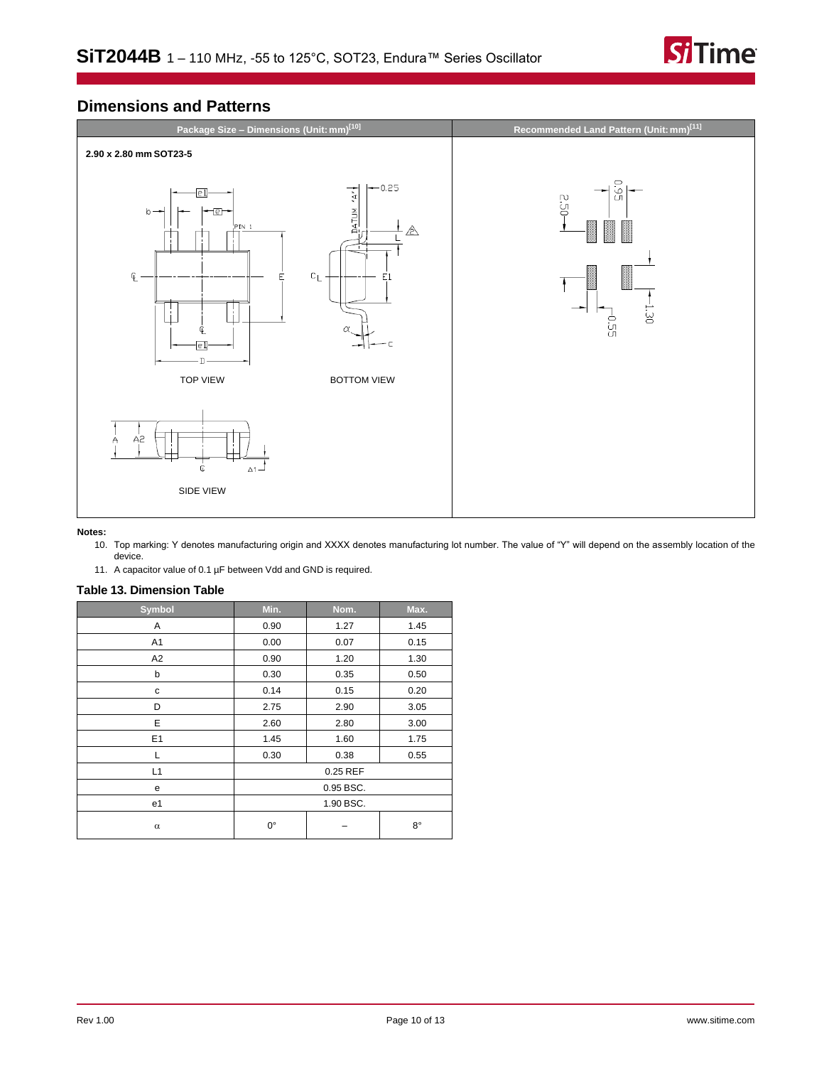![](_page_9_Picture_1.jpeg)

# **Dimensions and Patterns**

![](_page_9_Figure_3.jpeg)

#### <span id="page-9-0"></span>**Notes:**

- 10. Top marking: Y denotes manufacturing origin and XXXX denotes manufacturing lot number. The value of "Y" will depend on the assembly location of the device.
- 11. A capacitor value of 0.1 µF between Vdd and GND is required.

## <span id="page-9-1"></span>**Table 13. Dimension Table**

| <b>Symbol</b>  | Min.        | Nom. | Max.        |
|----------------|-------------|------|-------------|
| Α              | 0.90        | 1.27 | 1.45        |
| A1             | 0.00        | 0.07 | 0.15        |
| A <sub>2</sub> | 0.90        | 1.20 | 1.30        |
| b              | 0.30        | 0.35 | 0.50        |
| с              | 0.14        | 0.15 | 0.20        |
| D              | 2.75        | 2.90 | 3.05        |
| E              | 2.60        | 2.80 | 3.00        |
| E1             | 1.45        | 1.60 | 1.75        |
| L              | 0.30        | 0.38 | 0.55        |
| L1             | 0.25 REF    |      |             |
| е              | 0.95 BSC.   |      |             |
| e1             | 1.90 BSC.   |      |             |
| $\alpha$       | $0^{\circ}$ |      | $8^{\circ}$ |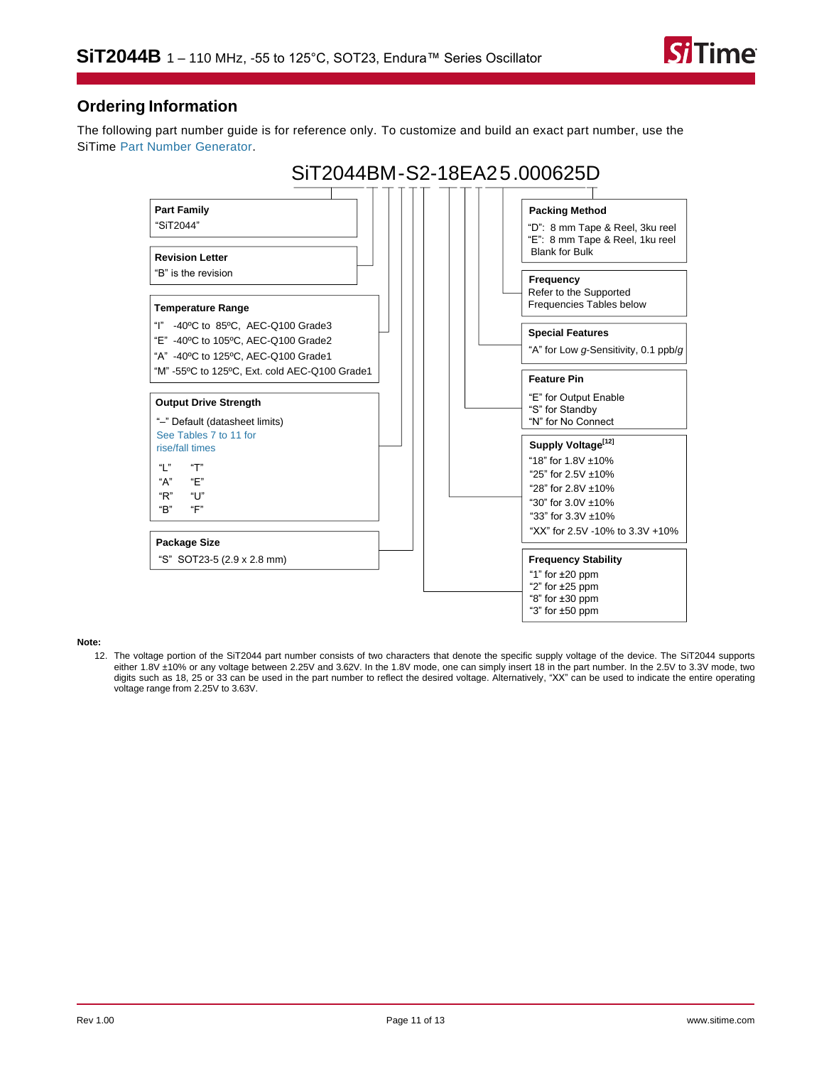![](_page_10_Picture_1.jpeg)

# **Ordering Information**

The following part number guide is for reference only. To customize and build an exact part number, use the SiTime [Part Number Generator.](https://www.sitime.com/part-number-generator?product=SiT2044)

![](_page_10_Figure_4.jpeg)

#### <span id="page-10-0"></span>**Note:**

<span id="page-10-1"></span>12. The voltage portion of the SiT2044 part number consists of two characters that denote the specific supply voltage of the device. The SiT2044 supports either 1.8V ±10% or any voltage between 2.25V and 3.62V. In the 1.8V mode, one can simply insert 18 in the part number. In the 2.5V to 3.3V mode, two digits such as 18, 25 or 33 can be used in the part number to reflect the desired voltage. Alternatively, "XX" can be used to indicate the entire operating voltage range from 2.25V to 3.63V.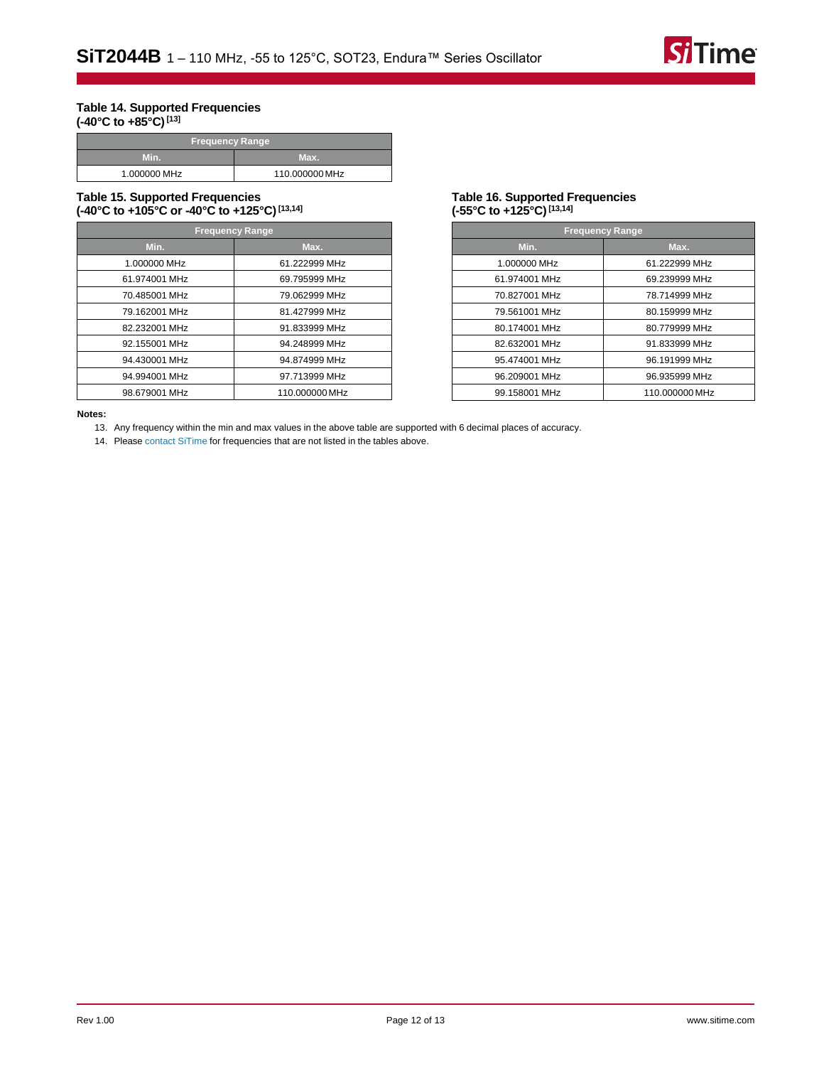![](_page_11_Picture_1.jpeg)

#### <span id="page-11-0"></span>**Table 14. Supported Frequencies (-40°C to +85°C)[\[13\]](#page-11-3)**

| <b>Frequency Range</b> |                |  |
|------------------------|----------------|--|
| Min.                   | Max.           |  |
| 1.000000 MHz           | 110.000000 MHz |  |

#### **Table 15. Supported Frequencies (-40°C to +105°C or -40°C to +125°C) [\[13,](#page-11-3)[14\]](#page-11-4)**

| <b>Frequency Range</b> |                |  |
|------------------------|----------------|--|
| Min.                   | Max.           |  |
| 1.000000 MHz           | 61.222999 MHz  |  |
| 61.974001 MHz          | 69.795999 MHz  |  |
| 70.485001 MHz          | 79.062999 MHz  |  |
| 79.162001 MHz          | 81.427999 MHz  |  |
| 82.232001 MHz          | 91.833999 MHz  |  |
| 92.155001 MHz          | 94.248999 MHz  |  |
| 94.430001 MHz          | 94.874999 MHz  |  |
| 94.994001 MHz          | 97.713999 MHz  |  |
| 98.679001 MHz          | 110.000000 MHz |  |

#### <span id="page-11-1"></span>**Table 16. Supported Frequencies (-55°C to +125°C)[\[13,](#page-11-3)[14\]](#page-11-4)**

| <b>Frequency Range</b> |                |  |
|------------------------|----------------|--|
| Min.                   | Max.           |  |
| 1.000000 MHz           | 61.222999 MHz  |  |
| 61.974001 MHz          | 69.239999 MHz  |  |
| 70.827001 MHz          | 78.714999 MHz  |  |
| 79.561001 MHz          | 80.159999 MHz  |  |
| 80.174001 MHz          | 80.779999 MHz  |  |
| 82.632001 MHz          | 91.833999 MHz  |  |
| 95.474001 MHz          | 96.191999 MHz  |  |
| 96.209001 MHz          | 96.935999 MHz  |  |
| 99.158001 MHz          | 110.000000 MHz |  |

#### <span id="page-11-4"></span><span id="page-11-3"></span><span id="page-11-2"></span>**Notes:**

13. Any frequency within the min and max values in the above table are supported with 6 decimal places of accuracy.

14. Please [contact SiTime](https://www.sitime.com/contact-us) for frequencies that are not listed in the tables above.